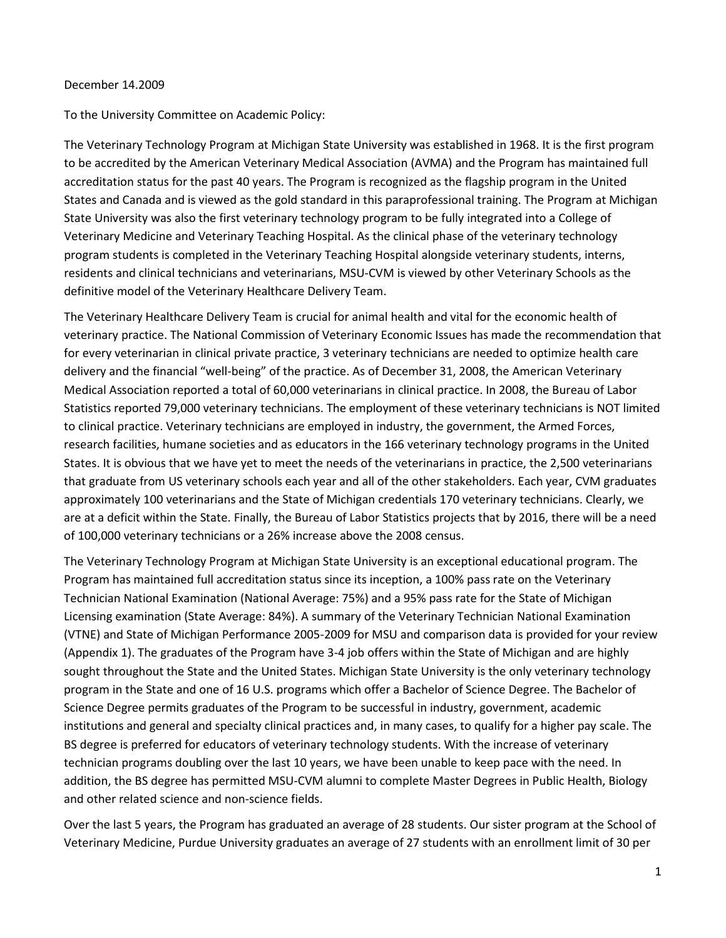## December 14.2009

To the University Committee on Academic Policy:

The Veterinary Technology Program at Michigan State University was established in 1968. It is the first program to be accredited by the American Veterinary Medical Association (AVMA) and the Program has maintained full accreditation status for the past 40 years. The Program is recognized as the flagship program in the United States and Canada and is viewed as the gold standard in this paraprofessional training. The Program at Michigan State University was also the first veterinary technology program to be fully integrated into a College of Veterinary Medicine and Veterinary Teaching Hospital. As the clinical phase of the veterinary technology program students is completed in the Veterinary Teaching Hospital alongside veterinary students, interns, residents and clinical technicians and veterinarians, MSU-CVM is viewed by other Veterinary Schools as the definitive model of the Veterinary Healthcare Delivery Team.

The Veterinary Healthcare Delivery Team is crucial for animal health and vital for the economic health of veterinary practice. The National Commission of Veterinary Economic Issues has made the recommendation that for every veterinarian in clinical private practice, 3 veterinary technicians are needed to optimize health care delivery and the financial "well-being" of the practice. As of December 31, 2008, the American Veterinary Medical Association reported a total of 60,000 veterinarians in clinical practice. In 2008, the Bureau of Labor Statistics reported 79,000 veterinary technicians. The employment of these veterinary technicians is NOT limited to clinical practice. Veterinary technicians are employed in industry, the government, the Armed Forces, research facilities, humane societies and as educators in the 166 veterinary technology programs in the United States. It is obvious that we have yet to meet the needs of the veterinarians in practice, the 2,500 veterinarians that graduate from US veterinary schools each year and all of the other stakeholders. Each year, CVM graduates approximately 100 veterinarians and the State of Michigan credentials 170 veterinary technicians. Clearly, we are at a deficit within the State. Finally, the Bureau of Labor Statistics projects that by 2016, there will be a need of 100,000 veterinary technicians or a 26% increase above the 2008 census.

The Veterinary Technology Program at Michigan State University is an exceptional educational program. The Program has maintained full accreditation status since its inception, a 100% pass rate on the Veterinary Technician National Examination (National Average: 75%) and a 95% pass rate for the State of Michigan Licensing examination (State Average: 84%). A summary of the Veterinary Technician National Examination (VTNE) and State of Michigan Performance 2005-2009 for MSU and comparison data is provided for your review (Appendix 1). The graduates of the Program have 3-4 job offers within the State of Michigan and are highly sought throughout the State and the United States. Michigan State University is the only veterinary technology program in the State and one of 16 U.S. programs which offer a Bachelor of Science Degree. The Bachelor of Science Degree permits graduates of the Program to be successful in industry, government, academic institutions and general and specialty clinical practices and, in many cases, to qualify for a higher pay scale. The BS degree is preferred for educators of veterinary technology students. With the increase of veterinary technician programs doubling over the last 10 years, we have been unable to keep pace with the need. In addition, the BS degree has permitted MSU-CVM alumni to complete Master Degrees in Public Health, Biology and other related science and non-science fields.

Over the last 5 years, the Program has graduated an average of 28 students. Our sister program at the School of Veterinary Medicine, Purdue University graduates an average of 27 students with an enrollment limit of 30 per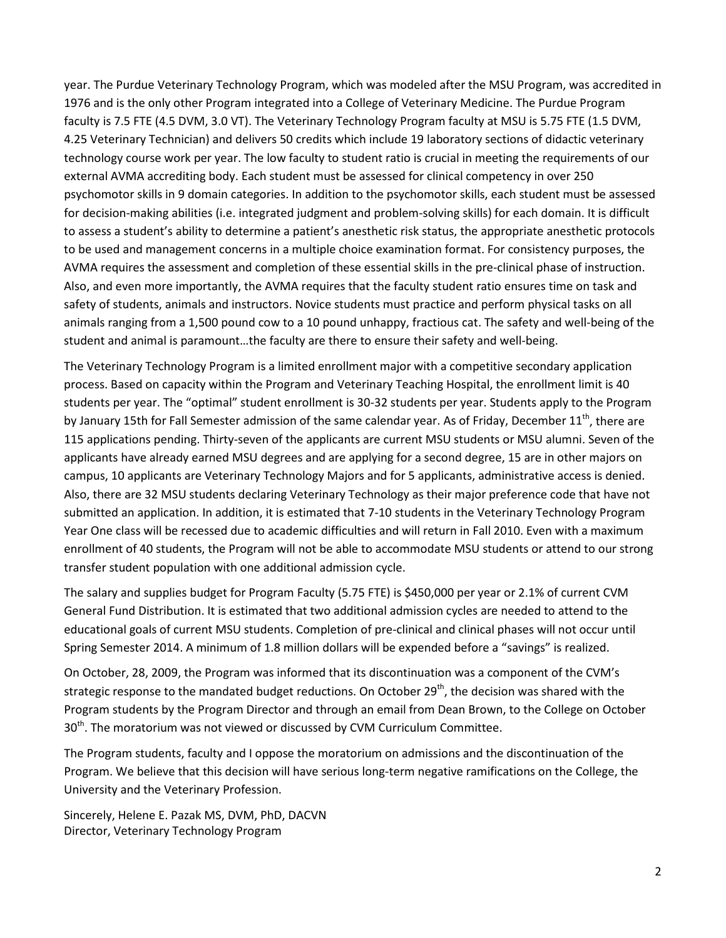year. The Purdue Veterinary Technology Program, which was modeled after the MSU Program, was accredited in 1976 and is the only other Program integrated into a College of Veterinary Medicine. The Purdue Program faculty is 7.5 FTE (4.5 DVM, 3.0 VT). The Veterinary Technology Program faculty at MSU is 5.75 FTE (1.5 DVM, 4.25 Veterinary Technician) and delivers 50 credits which include 19 laboratory sections of didactic veterinary technology course work per year. The low faculty to student ratio is crucial in meeting the requirements of our external AVMA accrediting body. Each student must be assessed for clinical competency in over 250 psychomotor skills in 9 domain categories. In addition to the psychomotor skills, each student must be assessed for decision-making abilities (i.e. integrated judgment and problem-solving skills) for each domain. It is difficult to assess a student's ability to determine a patient's anesthetic risk status, the appropriate anesthetic protocols to be used and management concerns in a multiple choice examination format. For consistency purposes, the AVMA requires the assessment and completion of these essential skills in the pre-clinical phase of instruction. Also, and even more importantly, the AVMA requires that the faculty student ratio ensures time on task and safety of students, animals and instructors. Novice students must practice and perform physical tasks on all animals ranging from a 1,500 pound cow to a 10 pound unhappy, fractious cat. The safety and well-being of the student and animal is paramount…the faculty are there to ensure their safety and well-being.

The Veterinary Technology Program is a limited enrollment major with a competitive secondary application process. Based on capacity within the Program and Veterinary Teaching Hospital, the enrollment limit is 40 students per year. The "optimal" student enrollment is 30-32 students per year. Students apply to the Program by January 15th for Fall Semester admission of the same calendar year. As of Friday, December  $11<sup>th</sup>$ , there are 115 applications pending. Thirty-seven of the applicants are current MSU students or MSU alumni. Seven of the applicants have already earned MSU degrees and are applying for a second degree, 15 are in other majors on campus, 10 applicants are Veterinary Technology Majors and for 5 applicants, administrative access is denied. Also, there are 32 MSU students declaring Veterinary Technology as their major preference code that have not submitted an application. In addition, it is estimated that 7-10 students in the Veterinary Technology Program Year One class will be recessed due to academic difficulties and will return in Fall 2010. Even with a maximum enrollment of 40 students, the Program will not be able to accommodate MSU students or attend to our strong transfer student population with one additional admission cycle.

The salary and supplies budget for Program Faculty (5.75 FTE) is \$450,000 per year or 2.1% of current CVM General Fund Distribution. It is estimated that two additional admission cycles are needed to attend to the educational goals of current MSU students. Completion of pre-clinical and clinical phases will not occur until Spring Semester 2014. A minimum of 1.8 million dollars will be expended before a "savings" is realized.

On October, 28, 2009, the Program was informed that its discontinuation was a component of the CVM's strategic response to the mandated budget reductions. On October  $29<sup>th</sup>$ , the decision was shared with the Program students by the Program Director and through an email from Dean Brown, to the College on October 30<sup>th</sup>. The moratorium was not viewed or discussed by CVM Curriculum Committee.

The Program students, faculty and I oppose the moratorium on admissions and the discontinuation of the Program. We believe that this decision will have serious long-term negative ramifications on the College, the University and the Veterinary Profession.

Sincerely, Helene E. Pazak MS, DVM, PhD, DACVN Director, Veterinary Technology Program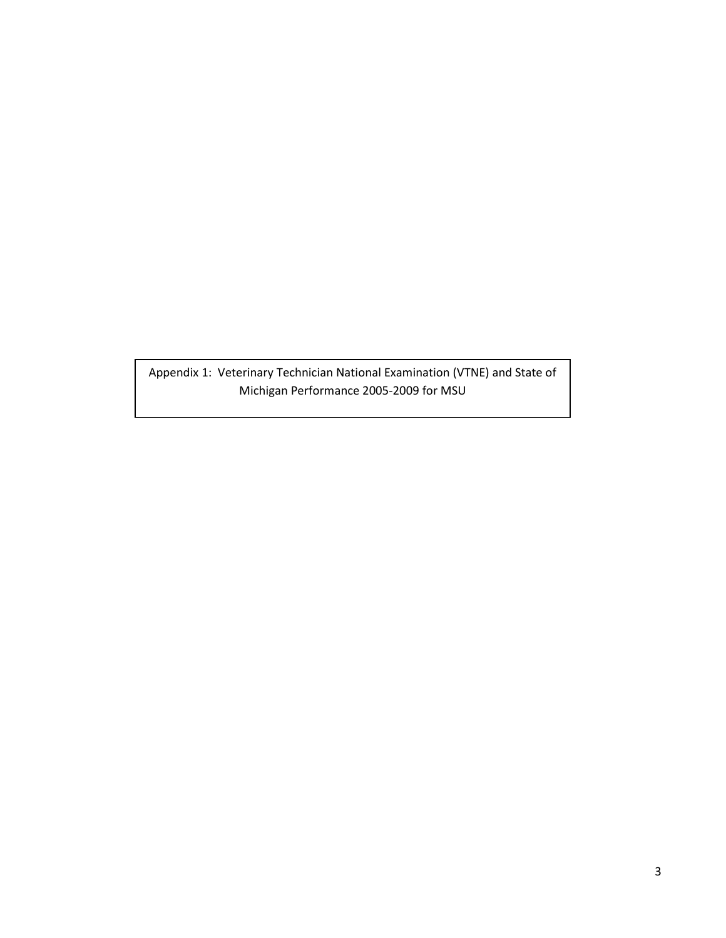Appendix 1: Veterinary Technician National Examination (VTNE) and State of Michigan Performance 2005-2009 for MSU